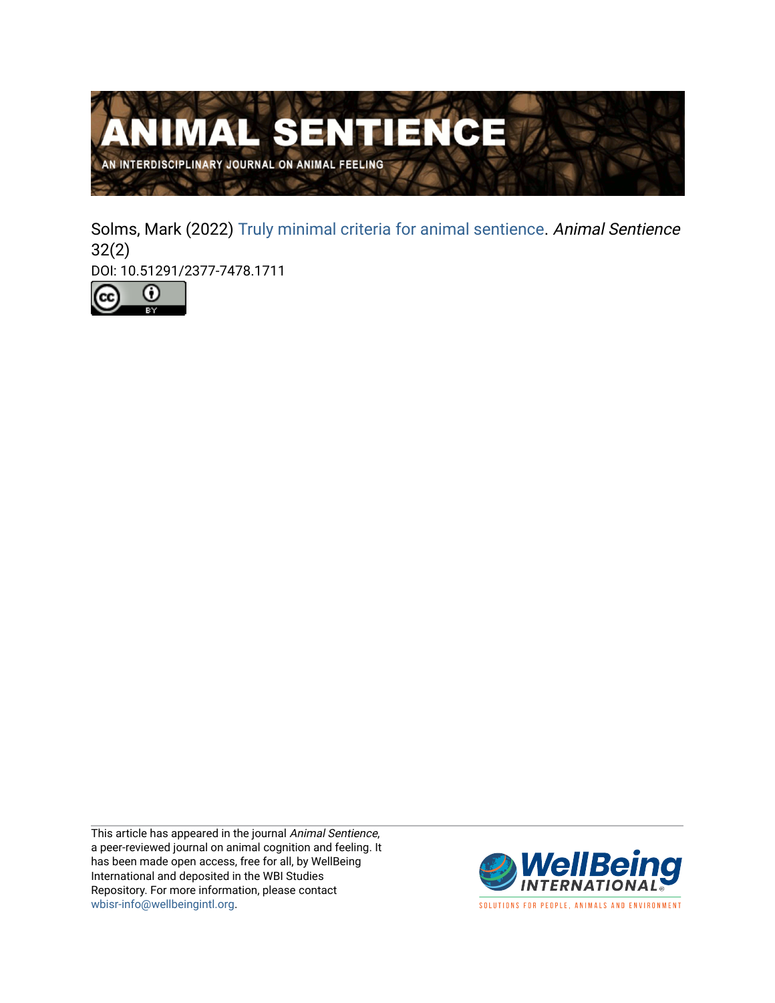

Solms, Mark (2022) [Truly minimal criteria for animal sentience](https://www.wellbeingintlstudiesrepository.org/animsent/vol7/iss32/2). Animal Sentience 32(2)

DOI: 10.51291/2377-7478.1711



This article has appeared in the journal Animal Sentience, a peer-reviewed journal on animal cognition and feeling. It has been made open access, free for all, by WellBeing International and deposited in the WBI Studies Repository. For more information, please contact [wbisr-info@wellbeingintl.org](mailto:wbisr-info@wellbeingintl.org).



SOLUTIONS FOR PEOPLE, ANIMALS AND ENVIRONMENT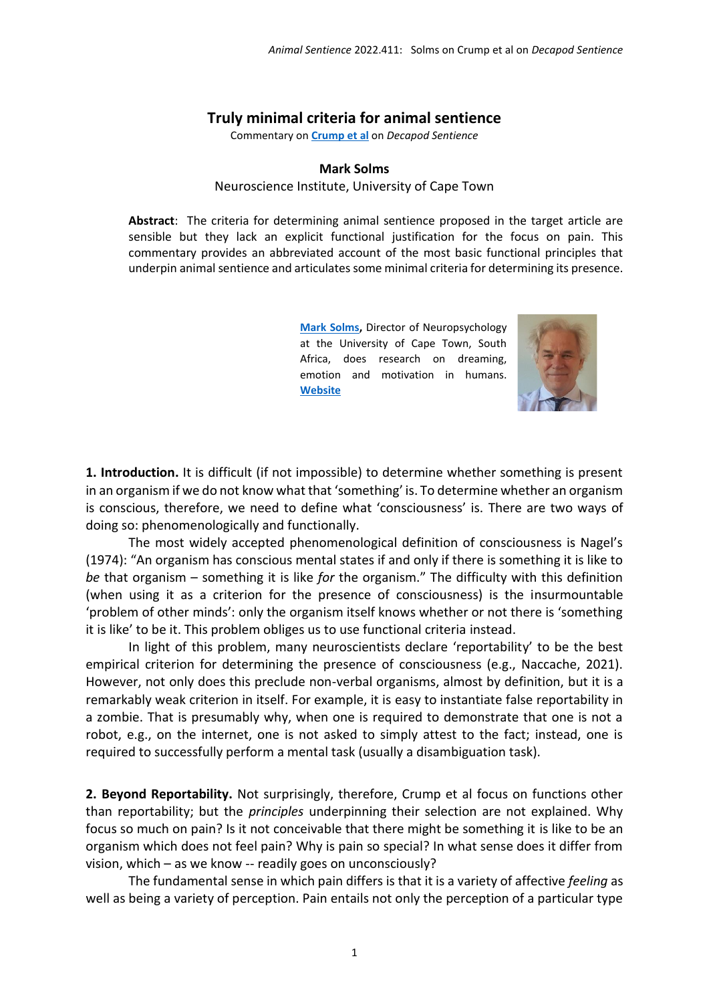## **Truly minimal criteria for animal sentience**

Commentary on **[Crump et al](https://www.wellbeingintlstudiesrepository.org/animsent/vol7/iss32/1)** on *Decapod Sentience*

## **Mark Solms**

Neuroscience Institute, University of Cape Town

**Abstract**: The criteria for determining animal sentience proposed in the target article are sensible but they lack an explicit functional justification for the focus on pain. This commentary provides an abbreviated account of the most basic functional principles that underpin animal sentience and articulates some minimal criteria for determining its presence.

> **[Mark Solms,](mailto:mark.solms@uct.ac.za)** Director of Neuropsychology at the University of Cape Town, South Africa, does research on dreaming, emotion and motivation in humans. **[Website](http://www.psychology.uct.ac.za/psy/staff/professors/marksolms)**



**1. Introduction.** It is difficult (if not impossible) to determine whether something is present in an organism if we do not know what that 'something' is. To determine whether an organism is conscious, therefore, we need to define what 'consciousness' is. There are two ways of doing so: phenomenologically and functionally.

The most widely accepted phenomenological definition of consciousness is Nagel's (1974): "An organism has conscious mental states if and only if there is something it is like to *be* that organism – something it is like *for* the organism." The difficulty with this definition (when using it as a criterion for the presence of consciousness) is the insurmountable 'problem of other minds': only the organism itself knows whether or not there is 'something it is like' to be it. This problem obliges us to use functional criteria instead.

In light of this problem, many neuroscientists declare 'reportability' to be the best empirical criterion for determining the presence of consciousness (e.g., Naccache, 2021). However, not only does this preclude non-verbal organisms, almost by definition, but it is a remarkably weak criterion in itself. For example, it is easy to instantiate false reportability in a zombie. That is presumably why, when one is required to demonstrate that one is not a robot, e.g., on the internet, one is not asked to simply attest to the fact; instead, one is required to successfully perform a mental task (usually a disambiguation task).

**2. Beyond Reportability.** Not surprisingly, therefore, Crump et al focus on functions other than reportability; but the *principles* underpinning their selection are not explained. Why focus so much on pain? Is it not conceivable that there might be something it is like to be an organism which does not feel pain? Why is pain so special? In what sense does it differ from vision, which – as we know -- readily goes on unconsciously?

The fundamental sense in which pain differs is that it is a variety of affective *feeling* as well as being a variety of perception. Pain entails not only the perception of a particular type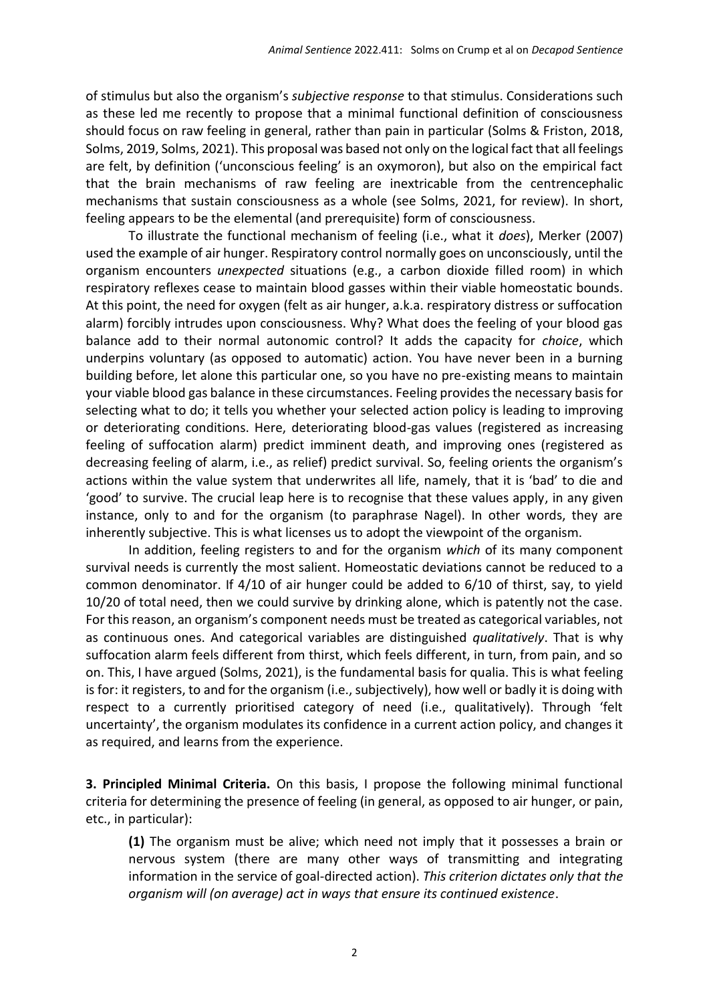of stimulus but also the organism's *subjective response* to that stimulus. Considerations such as these led me recently to propose that a minimal functional definition of consciousness should focus on raw feeling in general, rather than pain in particular (Solms & Friston, 2018, Solms, 2019, Solms, 2021). This proposal was based not only on the logical fact that all feelings are felt, by definition ('unconscious feeling' is an oxymoron), but also on the empirical fact that the brain mechanisms of raw feeling are inextricable from the centrencephalic mechanisms that sustain consciousness as a whole (see Solms, 2021, for review). In short, feeling appears to be the elemental (and prerequisite) form of consciousness.

To illustrate the functional mechanism of feeling (i.e., what it *does*), Merker (2007) used the example of air hunger. Respiratory control normally goes on unconsciously, until the organism encounters *unexpected* situations (e.g., a carbon dioxide filled room) in which respiratory reflexes cease to maintain blood gasses within their viable homeostatic bounds. At this point, the need for oxygen (felt as air hunger, a.k.a. respiratory distress or suffocation alarm) forcibly intrudes upon consciousness. Why? What does the feeling of your blood gas balance add to their normal autonomic control? It adds the capacity for *choice*, which underpins voluntary (as opposed to automatic) action. You have never been in a burning building before, let alone this particular one, so you have no pre-existing means to maintain your viable blood gas balance in these circumstances. Feeling provides the necessary basis for selecting what to do; it tells you whether your selected action policy is leading to improving or deteriorating conditions. Here, deteriorating blood-gas values (registered as increasing feeling of suffocation alarm) predict imminent death, and improving ones (registered as decreasing feeling of alarm, i.e., as relief) predict survival. So, feeling orients the organism's actions within the value system that underwrites all life, namely, that it is 'bad' to die and 'good' to survive. The crucial leap here is to recognise that these values apply, in any given instance, only to and for the organism (to paraphrase Nagel). In other words, they are inherently subjective. This is what licenses us to adopt the viewpoint of the organism.

In addition, feeling registers to and for the organism *which* of its many component survival needs is currently the most salient. Homeostatic deviations cannot be reduced to a common denominator. If 4/10 of air hunger could be added to 6/10 of thirst, say, to yield 10/20 of total need, then we could survive by drinking alone, which is patently not the case. For this reason, an organism's component needs must be treated as categorical variables, not as continuous ones. And categorical variables are distinguished *qualitatively*. That is why suffocation alarm feels different from thirst, which feels different, in turn, from pain, and so on. This, I have argued (Solms, 2021), is the fundamental basis for qualia. This is what feeling is for: it registers, to and for the organism (i.e., subjectively), how well or badly it is doing with respect to a currently prioritised category of need (i.e., qualitatively). Through 'felt uncertainty', the organism modulates its confidence in a current action policy, and changes it as required, and learns from the experience.

**3. Principled Minimal Criteria.** On this basis, I propose the following minimal functional criteria for determining the presence of feeling (in general, as opposed to air hunger, or pain, etc., in particular):

**(1)** The organism must be alive; which need not imply that it possesses a brain or nervous system (there are many other ways of transmitting and integrating information in the service of goal-directed action). *This criterion dictates only that the organism will (on average) act in ways that ensure its continued existence*.

2